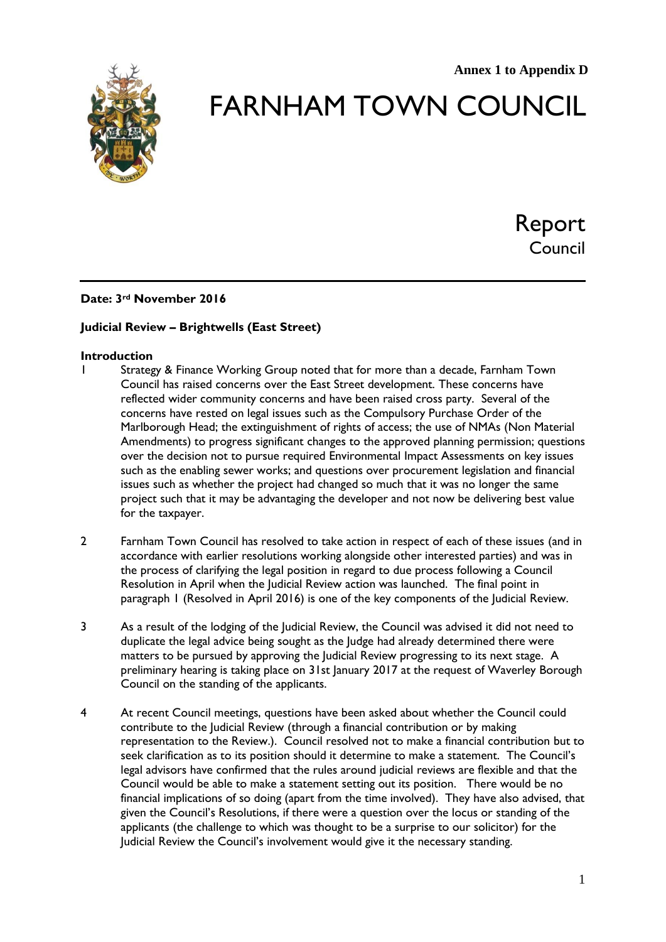

# FARNHAM TOWN COUNCIL

Report Council

# **Date: 3rd November 2016**

## **Judicial Review – Brightwells (East Street)**

#### **Introduction**

- 1 Strategy & Finance Working Group noted that for more than a decade, Farnham Town Council has raised concerns over the East Street development. These concerns have reflected wider community concerns and have been raised cross party. Several of the concerns have rested on legal issues such as the Compulsory Purchase Order of the Marlborough Head; the extinguishment of rights of access; the use of NMAs (Non Material Amendments) to progress significant changes to the approved planning permission; questions over the decision not to pursue required Environmental Impact Assessments on key issues such as the enabling sewer works; and questions over procurement legislation and financial issues such as whether the project had changed so much that it was no longer the same project such that it may be advantaging the developer and not now be delivering best value for the taxpayer.
- 2 Farnham Town Council has resolved to take action in respect of each of these issues (and in accordance with earlier resolutions working alongside other interested parties) and was in the process of clarifying the legal position in regard to due process following a Council Resolution in April when the Judicial Review action was launched. The final point in paragraph 1 (Resolved in April 2016) is one of the key components of the Judicial Review.
- 3 As a result of the lodging of the Judicial Review, the Council was advised it did not need to duplicate the legal advice being sought as the Judge had already determined there were matters to be pursued by approving the Judicial Review progressing to its next stage. A preliminary hearing is taking place on 31st January 2017 at the request of Waverley Borough Council on the standing of the applicants.
- 4 At recent Council meetings, questions have been asked about whether the Council could contribute to the Judicial Review (through a financial contribution or by making representation to the Review.). Council resolved not to make a financial contribution but to seek clarification as to its position should it determine to make a statement. The Council's legal advisors have confirmed that the rules around judicial reviews are flexible and that the Council would be able to make a statement setting out its position. There would be no financial implications of so doing (apart from the time involved). They have also advised, that given the Council's Resolutions, if there were a question over the locus or standing of the applicants (the challenge to which was thought to be a surprise to our solicitor) for the Judicial Review the Council's involvement would give it the necessary standing.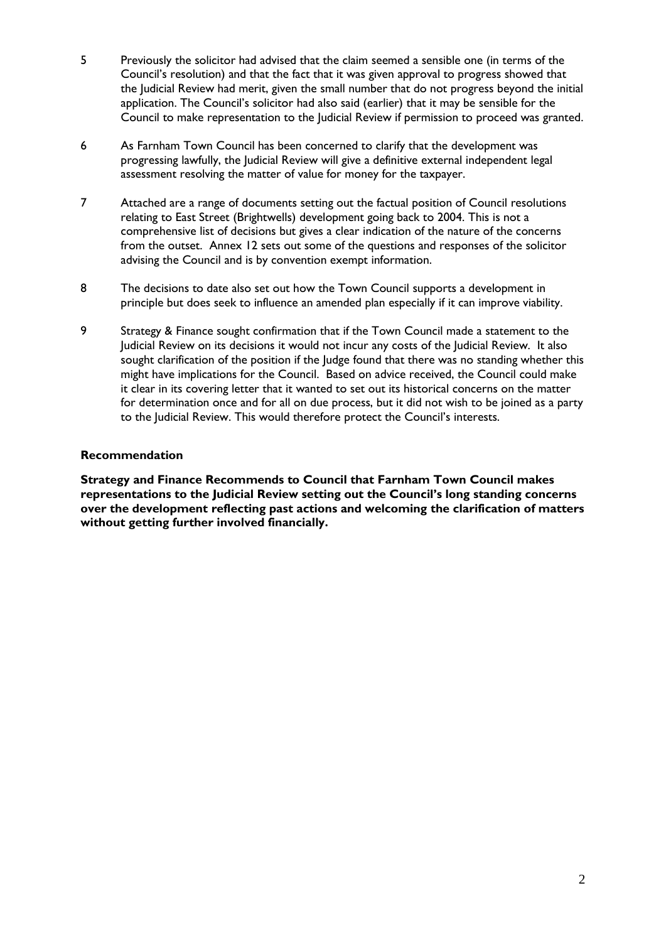- 5 Previously the solicitor had advised that the claim seemed a sensible one (in terms of the Council's resolution) and that the fact that it was given approval to progress showed that the Judicial Review had merit, given the small number that do not progress beyond the initial application. The Council's solicitor had also said (earlier) that it may be sensible for the Council to make representation to the Judicial Review if permission to proceed was granted.
- 6 As Farnham Town Council has been concerned to clarify that the development was progressing lawfully, the Judicial Review will give a definitive external independent legal assessment resolving the matter of value for money for the taxpayer.
- 7 Attached are a range of documents setting out the factual position of Council resolutions relating to East Street (Brightwells) development going back to 2004. This is not a comprehensive list of decisions but gives a clear indication of the nature of the concerns from the outset. Annex 12 sets out some of the questions and responses of the solicitor advising the Council and is by convention exempt information.
- 8 The decisions to date also set out how the Town Council supports a development in principle but does seek to influence an amended plan especially if it can improve viability.
- 9 Strategy & Finance sought confirmation that if the Town Council made a statement to the Judicial Review on its decisions it would not incur any costs of the Judicial Review. It also sought clarification of the position if the Judge found that there was no standing whether this might have implications for the Council. Based on advice received, the Council could make it clear in its covering letter that it wanted to set out its historical concerns on the matter for determination once and for all on due process, but it did not wish to be joined as a party to the Judicial Review. This would therefore protect the Council's interests.

## **Recommendation**

**Strategy and Finance Recommends to Council that Farnham Town Council makes representations to the Judicial Review setting out the Council's long standing concerns over the development reflecting past actions and welcoming the clarification of matters without getting further involved financially.**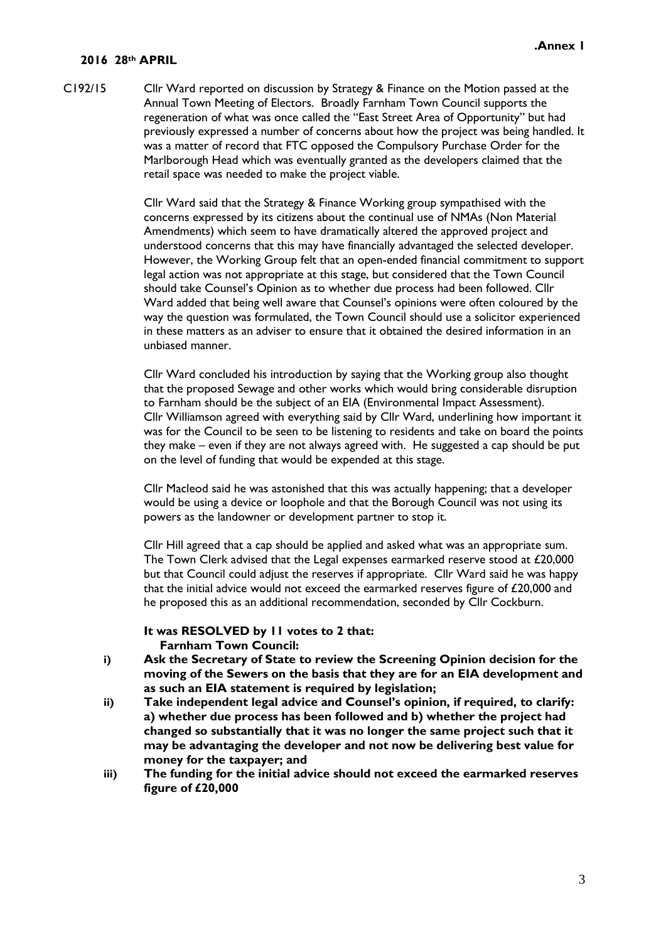#### **2016 28th APRIL**

C192/15 Cllr Ward reported on discussion by Strategy & Finance on the Motion passed at the Annual Town Meeting of Electors. Broadly Farnham Town Council supports the regeneration of what was once called the "East Street Area of Opportunity" but had previously expressed a number of concerns about how the project was being handled. It was a matter of record that FTC opposed the Compulsory Purchase Order for the Marlborough Head which was eventually granted as the developers claimed that the retail space was needed to make the project viable.

> Cllr Ward said that the Strategy & Finance Working group sympathised with the concerns expressed by its citizens about the continual use of NMAs (Non Material Amendments) which seem to have dramatically altered the approved project and understood concerns that this may have financially advantaged the selected developer. However, the Working Group felt that an open-ended financial commitment to support legal action was not appropriate at this stage, but considered that the Town Council should take Counsel's Opinion as to whether due process had been followed. Cllr Ward added that being well aware that Counsel's opinions were often coloured by the way the question was formulated, the Town Council should use a solicitor experienced in these matters as an adviser to ensure that it obtained the desired information in an unbiased manner.

> Cllr Ward concluded his introduction by saying that the Working group also thought that the proposed Sewage and other works which would bring considerable disruption to Farnham should be the subject of an EIA (Environmental Impact Assessment). Cllr Williamson agreed with everything said by Cllr Ward, underlining how important it was for the Council to be seen to be listening to residents and take on board the points they make – even if they are not always agreed with. He suggested a cap should be put on the level of funding that would be expended at this stage.

Cllr Macleod said he was astonished that this was actually happening; that a developer would be using a device or loophole and that the Borough Council was not using its powers as the landowner or development partner to stop it.

Cllr Hill agreed that a cap should be applied and asked what was an appropriate sum. The Town Clerk advised that the Legal expenses earmarked reserve stood at £20,000 but that Council could adjust the reserves if appropriate. Cllr Ward said he was happy that the initial advice would not exceed the earmarked reserves figure of  $£20,000$  and he proposed this as an additional recommendation, seconded by Cllr Cockburn.

#### **It was RESOLVED by 11 votes to 2 that: Farnham Town Council:**

- **i) Ask the Secretary of State to review the Screening Opinion decision for the moving of the Sewers on the basis that they are for an EIA development and as such an EIA statement is required by legislation;**
- **ii) Take independent legal advice and Counsel's opinion, if required, to clarify: a) whether due process has been followed and b) whether the project had changed so substantially that it was no longer the same project such that it may be advantaging the developer and not now be delivering best value for money for the taxpayer; and**
- **iii) The funding for the initial advice should not exceed the earmarked reserves figure of £20,000**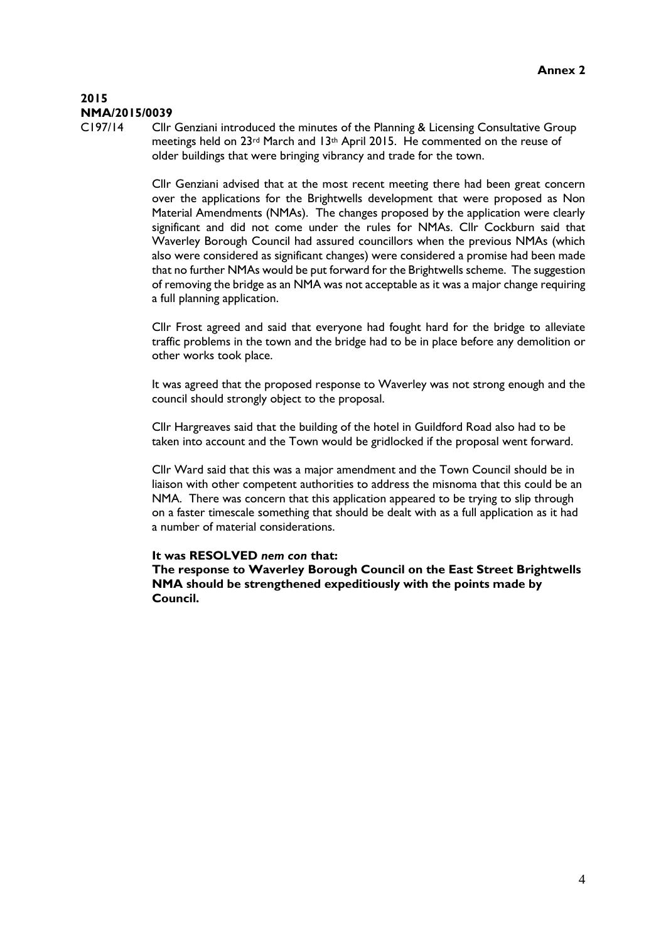# **2015 NMA/2015/0039**

C197/14 Cllr Genziani introduced the minutes of the Planning & Licensing Consultative Group meetings held on 23<sup>rd</sup> March and 13<sup>th</sup> April 2015. He commented on the reuse of older buildings that were bringing vibrancy and trade for the town.

> Cllr Genziani advised that at the most recent meeting there had been great concern over the applications for the Brightwells development that were proposed as Non Material Amendments (NMAs). The changes proposed by the application were clearly significant and did not come under the rules for NMAs. Cllr Cockburn said that Waverley Borough Council had assured councillors when the previous NMAs (which also were considered as significant changes) were considered a promise had been made that no further NMAs would be put forward for the Brightwells scheme. The suggestion of removing the bridge as an NMA was not acceptable as it was a major change requiring a full planning application.

> Cllr Frost agreed and said that everyone had fought hard for the bridge to alleviate traffic problems in the town and the bridge had to be in place before any demolition or other works took place.

> It was agreed that the proposed response to Waverley was not strong enough and the council should strongly object to the proposal.

Cllr Hargreaves said that the building of the hotel in Guildford Road also had to be taken into account and the Town would be gridlocked if the proposal went forward.

Cllr Ward said that this was a major amendment and the Town Council should be in liaison with other competent authorities to address the misnoma that this could be an NMA. There was concern that this application appeared to be trying to slip through on a faster timescale something that should be dealt with as a full application as it had a number of material considerations.

#### **It was RESOLVED** *nem con* **that:**

**The response to Waverley Borough Council on the East Street Brightwells NMA should be strengthened expeditiously with the points made by Council.**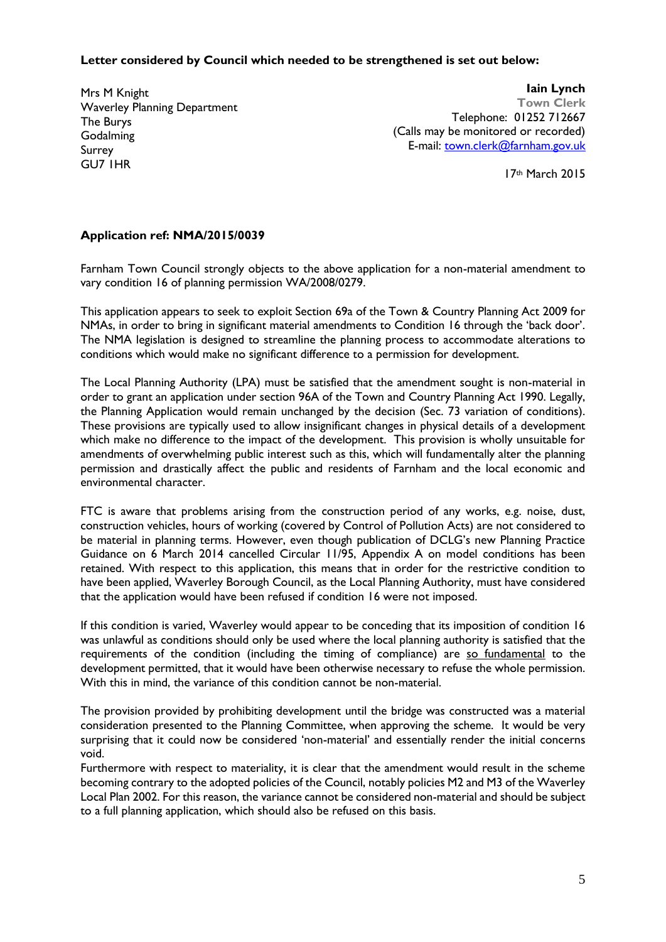#### **Letter considered by Council which needed to be strengthened is set out below:**

Mrs M Knight Waverley Planning Department The Burys **Godalming** Surrey GU7 1HR

**Iain Lynch Town Clerk** Telephone: 01252 712667 (Calls may be monitored or recorded) E-mail: [town.clerk@farnham.gov.uk](mailto:town.clerk@farnham.gov.uk)

17th March 2015

# **Application ref: NMA/2015/0039**

Farnham Town Council strongly objects to the above application for a non-material amendment to vary condition 16 of planning permission WA/2008/0279.

This application appears to seek to exploit Section 69a of the Town & Country Planning Act 2009 for NMAs, in order to bring in significant material amendments to Condition 16 through the 'back door'. The NMA legislation is designed to streamline the planning process to accommodate alterations to conditions which would make no significant difference to a permission for development.

The Local Planning Authority (LPA) must be satisfied that the amendment sought is non-material in order to grant an application under section 96A of the Town and Country Planning Act 1990. Legally, the Planning Application would remain unchanged by the decision (Sec. 73 variation of conditions). These provisions are typically used to allow insignificant changes in physical details of a development which make no difference to the impact of the development. This provision is wholly unsuitable for amendments of overwhelming public interest such as this, which will fundamentally alter the planning permission and drastically affect the public and residents of Farnham and the local economic and environmental character.

FTC is aware that problems arising from the construction period of any works, e.g. noise, dust, construction vehicles, hours of working (covered by Control of Pollution Acts) are not considered to be material in planning terms. However, even though publication of DCLG's new Planning Practice Guidance on 6 March 2014 cancelled Circular 11/95, Appendix A on model conditions has been retained. With respect to this application, this means that in order for the restrictive condition to have been applied, Waverley Borough Council, as the Local Planning Authority, must have considered that the application would have been refused if condition 16 were not imposed.

If this condition is varied, Waverley would appear to be conceding that its imposition of condition 16 was unlawful as conditions should only be used where the local planning authority is satisfied that the requirements of the condition (including the timing of compliance) are so fundamental to the development permitted, that it would have been otherwise necessary to refuse the whole permission. With this in mind, the variance of this condition cannot be non-material.

The provision provided by prohibiting development until the bridge was constructed was a material consideration presented to the Planning Committee, when approving the scheme. It would be very surprising that it could now be considered 'non-material' and essentially render the initial concerns void.

Furthermore with respect to materiality, it is clear that the amendment would result in the scheme becoming contrary to the adopted policies of the Council, notably policies M2 and M3 of the Waverley Local Plan 2002. For this reason, the variance cannot be considered non-material and should be subject to a full planning application, which should also be refused on this basis.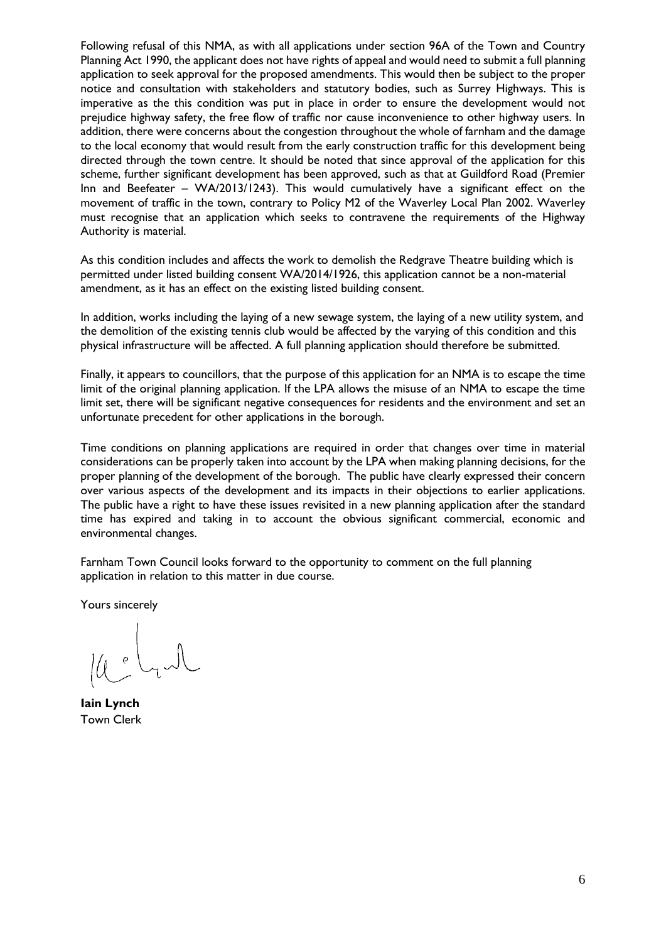Following refusal of this NMA, as with all applications under section 96A of the Town and Country Planning Act 1990, the applicant does not have rights of appeal and would need to submit a full planning application to seek approval for the proposed amendments. This would then be subject to the proper notice and consultation with stakeholders and statutory bodies, such as Surrey Highways. This is imperative as the this condition was put in place in order to ensure the development would not prejudice highway safety, the free flow of traffic nor cause inconvenience to other highway users. In addition, there were concerns about the congestion throughout the whole of farnham and the damage to the local economy that would result from the early construction traffic for this development being directed through the town centre. It should be noted that since approval of the application for this scheme, further significant development has been approved, such as that at Guildford Road (Premier Inn and Beefeater – WA/2013/1243). This would cumulatively have a significant effect on the movement of traffic in the town, contrary to Policy M2 of the Waverley Local Plan 2002. Waverley must recognise that an application which seeks to contravene the requirements of the Highway Authority is material.

As this condition includes and affects the work to demolish the Redgrave Theatre building which is permitted under listed building consent WA/2014/1926, this application cannot be a non-material amendment, as it has an effect on the existing listed building consent.

In addition, works including the laying of a new sewage system, the laying of a new utility system, and the demolition of the existing tennis club would be affected by the varying of this condition and this physical infrastructure will be affected. A full planning application should therefore be submitted.

Finally, it appears to councillors, that the purpose of this application for an NMA is to escape the time limit of the original planning application. If the LPA allows the misuse of an NMA to escape the time limit set, there will be significant negative consequences for residents and the environment and set an unfortunate precedent for other applications in the borough.

Time conditions on planning applications are required in order that changes over time in material considerations can be properly taken into account by the LPA when making planning decisions, for the proper planning of the development of the borough. The public have clearly expressed their concern over various aspects of the development and its impacts in their objections to earlier applications. The public have a right to have these issues revisited in a new planning application after the standard time has expired and taking in to account the obvious significant commercial, economic and environmental changes.

Farnham Town Council looks forward to the opportunity to comment on the full planning application in relation to this matter in due course.

Yours sincerely

**Iain Lynch** Town Clerk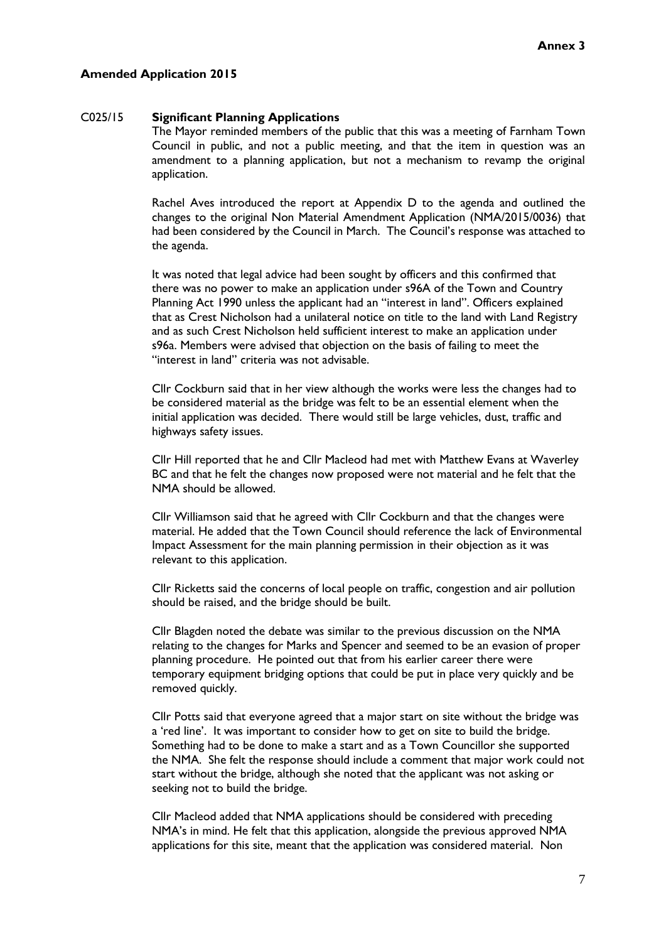#### **Amended Application 2015**

#### C025/15 **Significant Planning Applications**

The Mayor reminded members of the public that this was a meeting of Farnham Town Council in public, and not a public meeting, and that the item in question was an amendment to a planning application, but not a mechanism to revamp the original application.

Rachel Aves introduced the report at Appendix D to the agenda and outlined the changes to the original Non Material Amendment Application (NMA/2015/0036) that had been considered by the Council in March. The Council's response was attached to the agenda.

It was noted that legal advice had been sought by officers and this confirmed that there was no power to make an application under s96A of the Town and Country Planning Act 1990 unless the applicant had an "interest in land". Officers explained that as Crest Nicholson had a unilateral notice on title to the land with Land Registry and as such Crest Nicholson held sufficient interest to make an application under s96a. Members were advised that objection on the basis of failing to meet the "interest in land" criteria was not advisable.

Cllr Cockburn said that in her view although the works were less the changes had to be considered material as the bridge was felt to be an essential element when the initial application was decided. There would still be large vehicles, dust, traffic and highways safety issues.

Cllr Hill reported that he and Cllr Macleod had met with Matthew Evans at Waverley BC and that he felt the changes now proposed were not material and he felt that the NMA should be allowed.

Cllr Williamson said that he agreed with Cllr Cockburn and that the changes were material. He added that the Town Council should reference the lack of Environmental Impact Assessment for the main planning permission in their objection as it was relevant to this application.

Cllr Ricketts said the concerns of local people on traffic, congestion and air pollution should be raised, and the bridge should be built.

Cllr Blagden noted the debate was similar to the previous discussion on the NMA relating to the changes for Marks and Spencer and seemed to be an evasion of proper planning procedure. He pointed out that from his earlier career there were temporary equipment bridging options that could be put in place very quickly and be removed quickly.

Cllr Potts said that everyone agreed that a major start on site without the bridge was a 'red line'. It was important to consider how to get on site to build the bridge. Something had to be done to make a start and as a Town Councillor she supported the NMA. She felt the response should include a comment that major work could not start without the bridge, although she noted that the applicant was not asking or seeking not to build the bridge.

Cllr Macleod added that NMA applications should be considered with preceding NMA's in mind. He felt that this application, alongside the previous approved NMA applications for this site, meant that the application was considered material. Non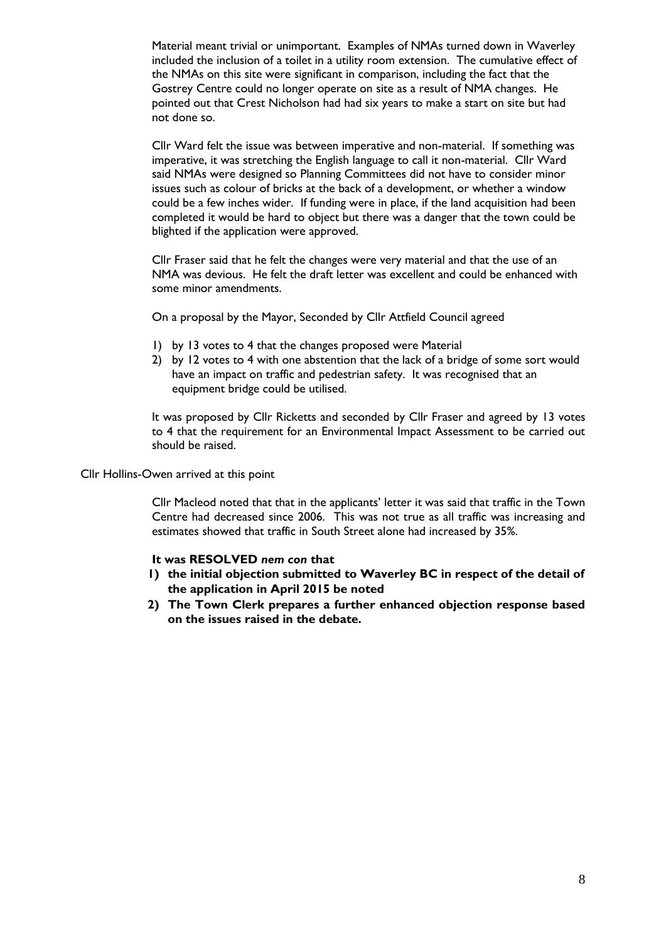Material meant trivial or unimportant. Examples of NMAs turned down in Waverley included the inclusion of a toilet in a utility room extension. The cumulative effect of the NMAs on this site were significant in comparison, including the fact that the Gostrey Centre could no longer operate on site as a result of NMA changes. He pointed out that Crest Nicholson had had six years to make a start on site but had not done so.

Cllr Ward felt the issue was between imperative and non-material. If something was imperative, it was stretching the English language to call it non-material. Cllr Ward said NMAs were designed so Planning Committees did not have to consider minor issues such as colour of bricks at the back of a development, or whether a window could be a few inches wider. If funding were in place, if the land acquisition had been completed it would be hard to object but there was a danger that the town could be blighted if the application were approved.

Cllr Fraser said that he felt the changes were very material and that the use of an NMA was devious. He felt the draft letter was excellent and could be enhanced with some minor amendments.

On a proposal by the Mayor, Seconded by Cllr Attfield Council agreed

- 1) by 13 votes to 4 that the changes proposed were Material
- 2) by 12 votes to 4 with one abstention that the lack of a bridge of some sort would have an impact on traffic and pedestrian safety. It was recognised that an equipment bridge could be utilised.

It was proposed by Cllr Ricketts and seconded by Cllr Fraser and agreed by 13 votes to 4 that the requirement for an Environmental Impact Assessment to be carried out should be raised.

Cllr Hollins-Owen arrived at this point

Cllr Macleod noted that that in the applicants' letter it was said that traffic in the Town Centre had decreased since 2006. This was not true as all traffic was increasing and estimates showed that traffic in South Street alone had increased by 35%.

#### **It was RESOLVED** *nem con* **that**

- **1) the initial objection submitted to Waverley BC in respect of the detail of the application in April 2015 be noted**
- **2) The Town Clerk prepares a further enhanced objection response based on the issues raised in the debate.**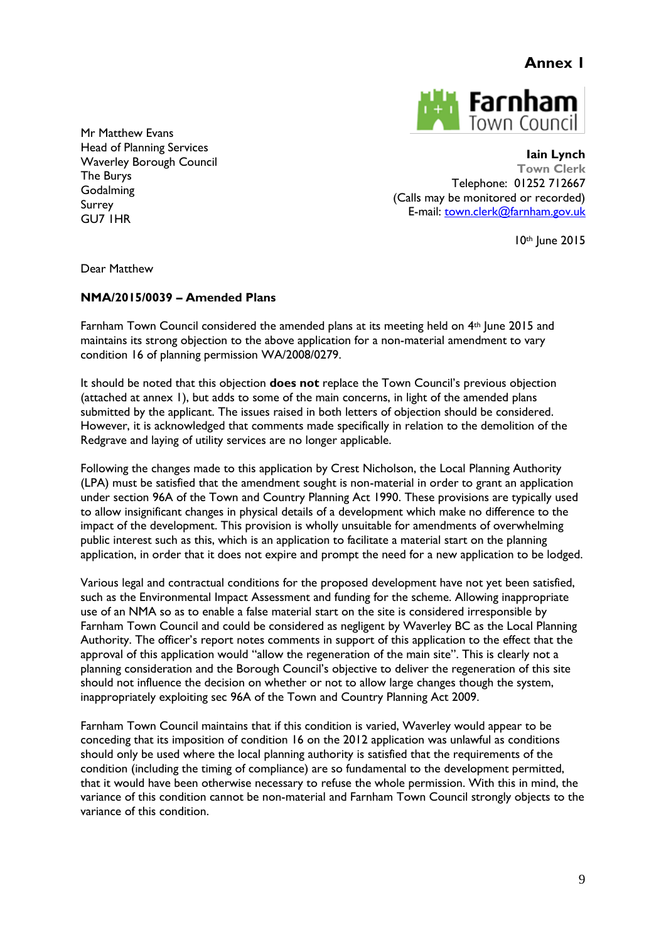

Mr Matthew Evans Head of Planning Services Waverley Borough Council The Burys Godalming Surrey GU7 1HR

**Iain Lynch Town Clerk** Telephone: 01252 712667 (Calls may be monitored or recorded) E-mail: [town.clerk@farnham.gov.uk](mailto:town.clerk@farnham.gov.uk)

10th June 2015

Dear Matthew

## **NMA/2015/0039 – Amended Plans**

Farnham Town Council considered the amended plans at its meeting held on 4<sup>th</sup> June 2015 and maintains its strong objection to the above application for a non-material amendment to vary condition 16 of planning permission WA/2008/0279.

It should be noted that this objection **does not** replace the Town Council's previous objection (attached at annex 1), but adds to some of the main concerns, in light of the amended plans submitted by the applicant. The issues raised in both letters of objection should be considered. However, it is acknowledged that comments made specifically in relation to the demolition of the Redgrave and laying of utility services are no longer applicable.

Following the changes made to this application by Crest Nicholson, the Local Planning Authority (LPA) must be satisfied that the amendment sought is non-material in order to grant an application under section 96A of the Town and Country Planning Act 1990. These provisions are typically used to allow insignificant changes in physical details of a development which make no difference to the impact of the development. This provision is wholly unsuitable for amendments of overwhelming public interest such as this, which is an application to facilitate a material start on the planning application, in order that it does not expire and prompt the need for a new application to be lodged.

Various legal and contractual conditions for the proposed development have not yet been satisfied, such as the Environmental Impact Assessment and funding for the scheme. Allowing inappropriate use of an NMA so as to enable a false material start on the site is considered irresponsible by Farnham Town Council and could be considered as negligent by Waverley BC as the Local Planning Authority. The officer's report notes comments in support of this application to the effect that the approval of this application would "allow the regeneration of the main site". This is clearly not a planning consideration and the Borough Council's objective to deliver the regeneration of this site should not influence the decision on whether or not to allow large changes though the system, inappropriately exploiting sec 96A of the Town and Country Planning Act 2009.

Farnham Town Council maintains that if this condition is varied, Waverley would appear to be conceding that its imposition of condition 16 on the 2012 application was unlawful as conditions should only be used where the local planning authority is satisfied that the requirements of the condition (including the timing of compliance) are so fundamental to the development permitted, that it would have been otherwise necessary to refuse the whole permission. With this in mind, the variance of this condition cannot be non-material and Farnham Town Council strongly objects to the variance of this condition.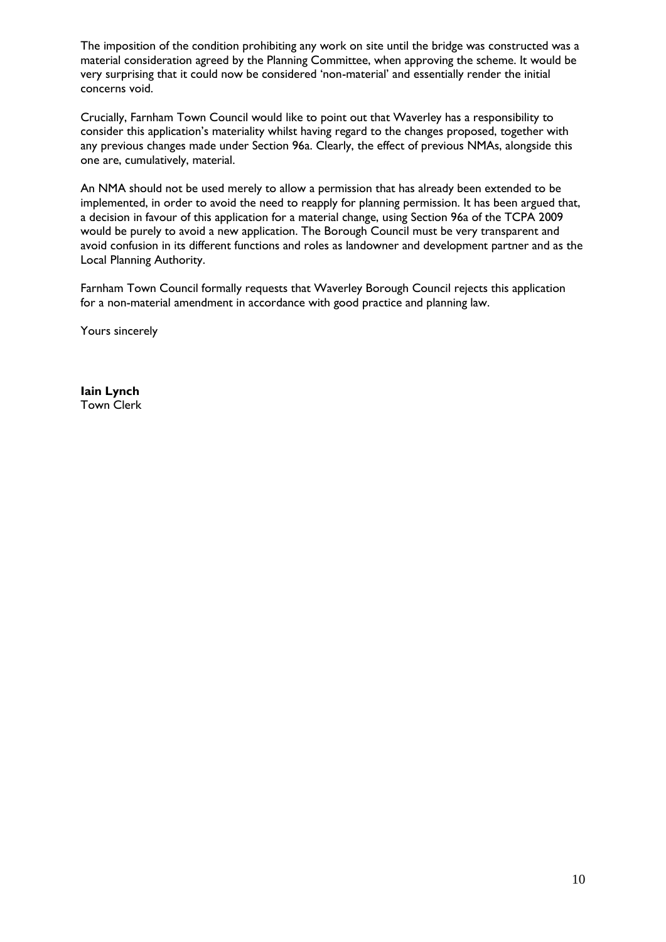The imposition of the condition prohibiting any work on site until the bridge was constructed was a material consideration agreed by the Planning Committee, when approving the scheme. It would be very surprising that it could now be considered 'non-material' and essentially render the initial concerns void.

Crucially, Farnham Town Council would like to point out that Waverley has a responsibility to consider this application's materiality whilst having regard to the changes proposed, together with any previous changes made under Section 96a. Clearly, the effect of previous NMAs, alongside this one are, cumulatively, material.

An NMA should not be used merely to allow a permission that has already been extended to be implemented, in order to avoid the need to reapply for planning permission. It has been argued that, a decision in favour of this application for a material change, using Section 96a of the TCPA 2009 would be purely to avoid a new application. The Borough Council must be very transparent and avoid confusion in its different functions and roles as landowner and development partner and as the Local Planning Authority.

Farnham Town Council formally requests that Waverley Borough Council rejects this application for a non-material amendment in accordance with good practice and planning law.

Yours sincerely

**Iain Lynch** Town Clerk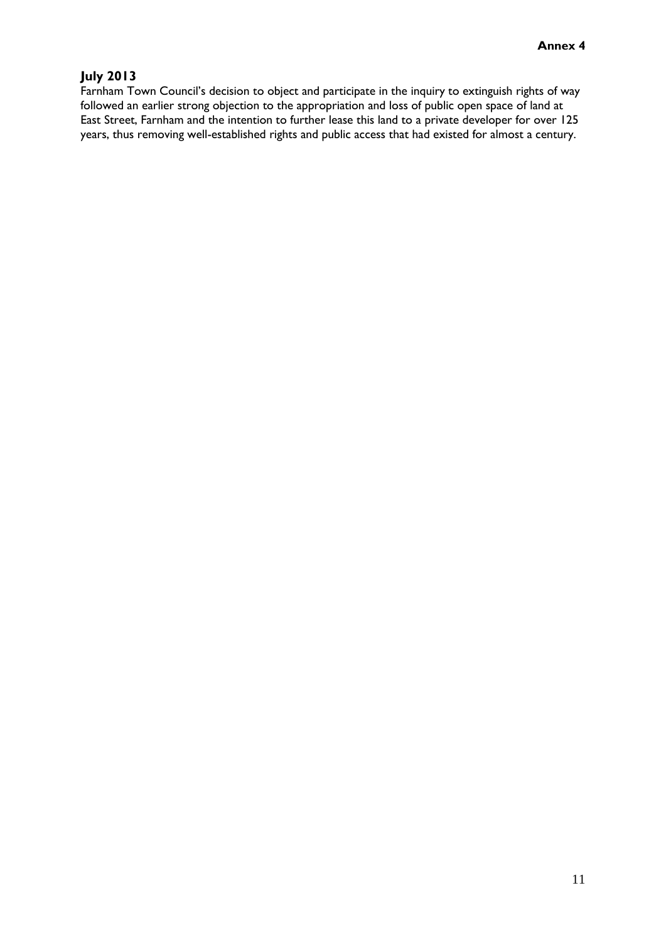# **July 2013**

Farnham Town Council's decision to object and participate in the inquiry to extinguish rights of way followed an earlier strong objection to the appropriation and loss of public open space of land at East Street, Farnham and the intention to further lease this land to a private developer for over 125 years, thus removing well-established rights and public access that had existed for almost a century.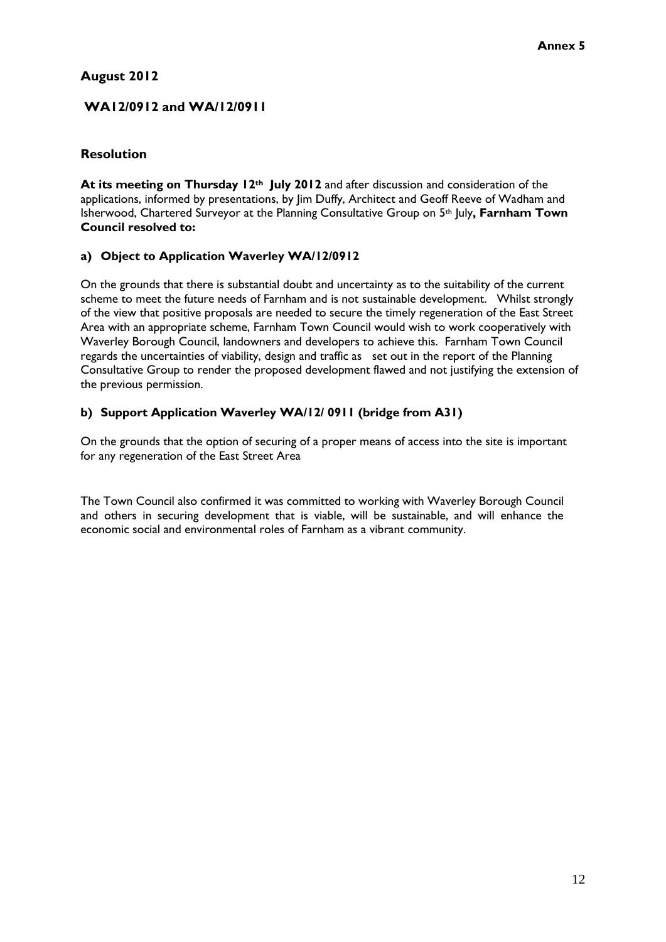# **August 2012**

# **WA12/0912 and WA/12/0911**

## **Resolution**

**At its meeting on Thursday 12th July 2012** and after discussion and consideration of the applications, informed by presentations, by Jim Duffy, Architect and Geoff Reeve of Wadham and Isherwood, Chartered Surveyor at the Planning Consultative Group on 5th July**, Farnham Town Council resolved to:**

# **a) Object to Application Waverley WA/12/0912**

On the grounds that there is substantial doubt and uncertainty as to the suitability of the current scheme to meet the future needs of Farnham and is not sustainable development. Whilst strongly of the view that positive proposals are needed to secure the timely regeneration of the East Street Area with an appropriate scheme, Farnham Town Council would wish to work cooperatively with Waverley Borough Council, landowners and developers to achieve this. Farnham Town Council regards the uncertainties of viability, design and traffic as set out in the report of the Planning Consultative Group to render the proposed development flawed and not justifying the extension of the previous permission.

# **b) Support Application Waverley WA/12/ 0911 (bridge from A31)**

On the grounds that the option of securing of a proper means of access into the site is important for any regeneration of the East Street Area

The Town Council also confirmed it was committed to working with Waverley Borough Council and others in securing development that is viable, will be sustainable, and will enhance the economic social and environmental roles of Farnham as a vibrant community.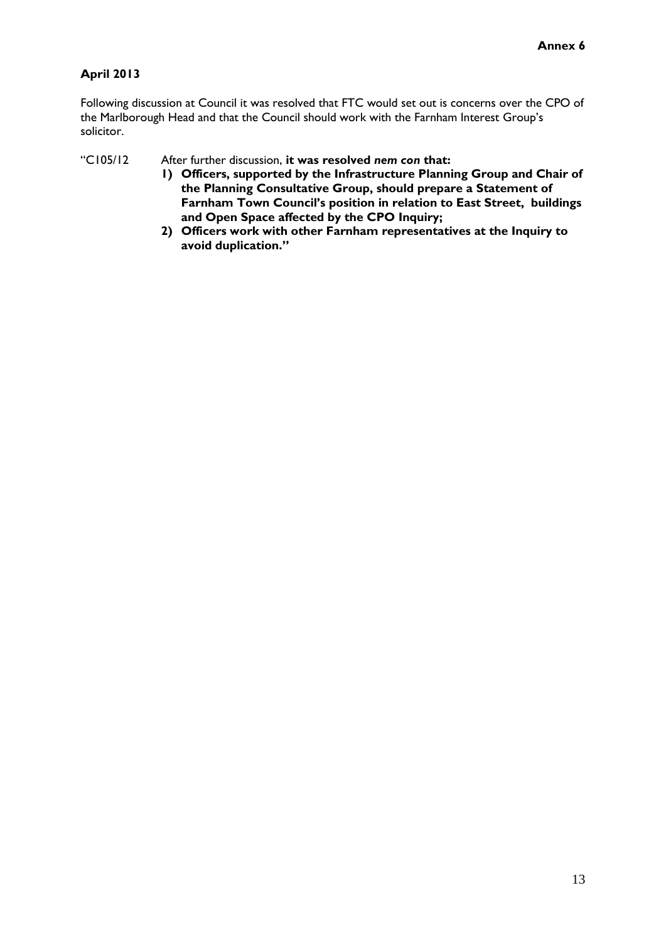# **April 2013**

Following discussion at Council it was resolved that FTC would set out is concerns over the CPO of the Marlborough Head and that the Council should work with the Farnham Interest Group's solicitor.

"C105/12 After further discussion, **it was resolved** *nem con* **that:**

- **1) Officers, supported by the Infrastructure Planning Group and Chair of the Planning Consultative Group, should prepare a Statement of Farnham Town Council's position in relation to East Street, buildings and Open Space affected by the CPO Inquiry;**
- **2) Officers work with other Farnham representatives at the Inquiry to avoid duplication."**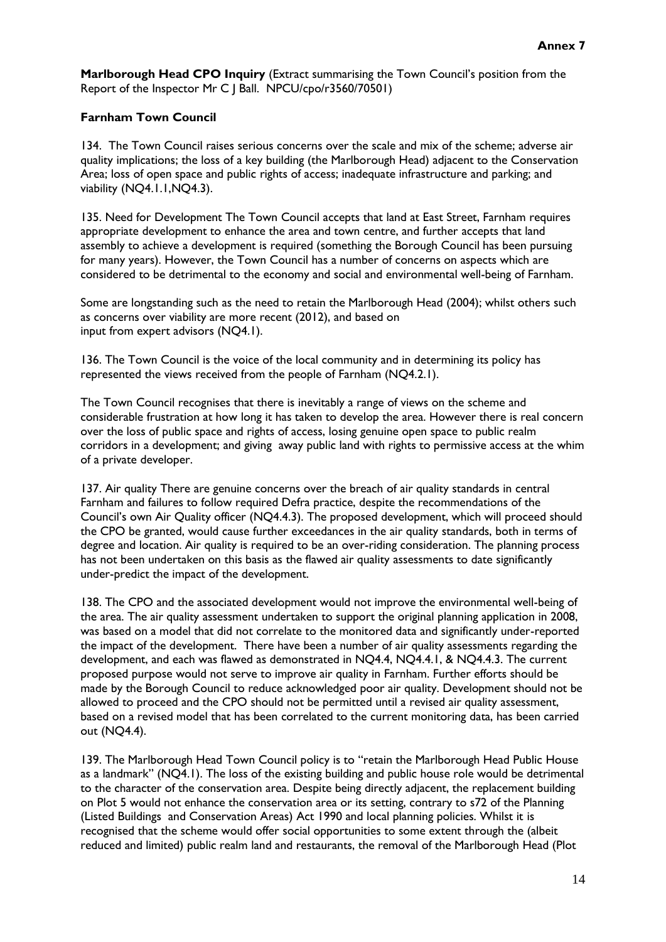**Marlborough Head CPO Inquiry** (Extract summarising the Town Council's position from the Report of the Inspector Mr C J Ball. NPCU/cpo/r3560/70501)

#### **Farnham Town Council**

134. The Town Council raises serious concerns over the scale and mix of the scheme; adverse air quality implications; the loss of a key building (the Marlborough Head) adjacent to the Conservation Area; loss of open space and public rights of access; inadequate infrastructure and parking; and viability (NQ4.1.1,NQ4.3).

135. Need for Development The Town Council accepts that land at East Street, Farnham requires appropriate development to enhance the area and town centre, and further accepts that land assembly to achieve a development is required (something the Borough Council has been pursuing for many years). However, the Town Council has a number of concerns on aspects which are considered to be detrimental to the economy and social and environmental well-being of Farnham.

Some are longstanding such as the need to retain the Marlborough Head (2004); whilst others such as concerns over viability are more recent (2012), and based on input from expert advisors (NQ4.1).

136. The Town Council is the voice of the local community and in determining its policy has represented the views received from the people of Farnham (NQ4.2.1).

The Town Council recognises that there is inevitably a range of views on the scheme and considerable frustration at how long it has taken to develop the area. However there is real concern over the loss of public space and rights of access, losing genuine open space to public realm corridors in a development; and giving away public land with rights to permissive access at the whim of a private developer.

137. Air quality There are genuine concerns over the breach of air quality standards in central Farnham and failures to follow required Defra practice, despite the recommendations of the Council's own Air Quality officer (NQ4.4.3). The proposed development, which will proceed should the CPO be granted, would cause further exceedances in the air quality standards, both in terms of degree and location. Air quality is required to be an over-riding consideration. The planning process has not been undertaken on this basis as the flawed air quality assessments to date significantly under-predict the impact of the development.

138. The CPO and the associated development would not improve the environmental well-being of the area. The air quality assessment undertaken to support the original planning application in 2008, was based on a model that did not correlate to the monitored data and significantly under-reported the impact of the development. There have been a number of air quality assessments regarding the development, and each was flawed as demonstrated in NQ4.4, NQ4.4.1, & NQ4.4.3. The current proposed purpose would not serve to improve air quality in Farnham. Further efforts should be made by the Borough Council to reduce acknowledged poor air quality. Development should not be allowed to proceed and the CPO should not be permitted until a revised air quality assessment, based on a revised model that has been correlated to the current monitoring data, has been carried out (NQ4.4).

139. The Marlborough Head Town Council policy is to "retain the Marlborough Head Public House as a landmark" (NQ4.1). The loss of the existing building and public house role would be detrimental to the character of the conservation area. Despite being directly adjacent, the replacement building on Plot 5 would not enhance the conservation area or its setting, contrary to s72 of the Planning (Listed Buildings and Conservation Areas) Act 1990 and local planning policies. Whilst it is recognised that the scheme would offer social opportunities to some extent through the (albeit reduced and limited) public realm land and restaurants, the removal of the Marlborough Head (Plot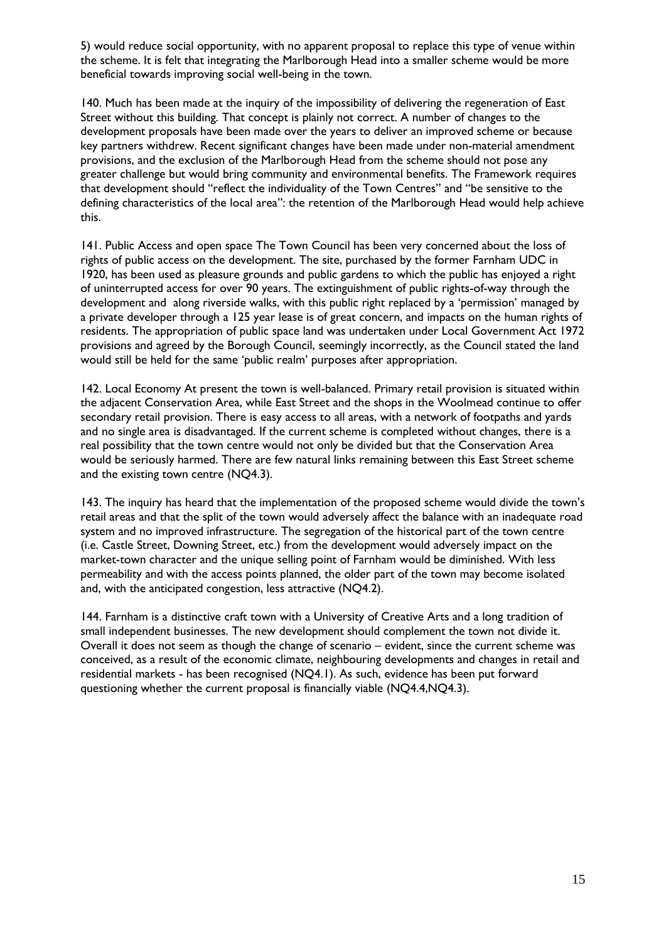5) would reduce social opportunity, with no apparent proposal to replace this type of venue within the scheme. It is felt that integrating the Marlborough Head into a smaller scheme would be more beneficial towards improving social well-being in the town.

140. Much has been made at the inquiry of the impossibility of delivering the regeneration of East Street without this building. That concept is plainly not correct. A number of changes to the development proposals have been made over the years to deliver an improved scheme or because key partners withdrew. Recent significant changes have been made under non-material amendment provisions, and the exclusion of the Marlborough Head from the scheme should not pose any greater challenge but would bring community and environmental benefits. The Framework requires that development should "reflect the individuality of the Town Centres" and "be sensitive to the defining characteristics of the local area": the retention of the Marlborough Head would help achieve this.

141. Public Access and open space The Town Council has been very concerned about the loss of rights of public access on the development. The site, purchased by the former Farnham UDC in 1920, has been used as pleasure grounds and public gardens to which the public has enjoyed a right of uninterrupted access for over 90 years. The extinguishment of public rights-of-way through the development and along riverside walks, with this public right replaced by a 'permission' managed by a private developer through a 125 year lease is of great concern, and impacts on the human rights of residents. The appropriation of public space land was undertaken under Local Government Act 1972 provisions and agreed by the Borough Council, seemingly incorrectly, as the Council stated the land would still be held for the same 'public realm' purposes after appropriation.

142. Local Economy At present the town is well-balanced. Primary retail provision is situated within the adjacent Conservation Area, while East Street and the shops in the Woolmead continue to offer secondary retail provision. There is easy access to all areas, with a network of footpaths and yards and no single area is disadvantaged. If the current scheme is completed without changes, there is a real possibility that the town centre would not only be divided but that the Conservation Area would be seriously harmed. There are few natural links remaining between this East Street scheme and the existing town centre (NQ4.3).

143. The inquiry has heard that the implementation of the proposed scheme would divide the town's retail areas and that the split of the town would adversely affect the balance with an inadequate road system and no improved infrastructure. The segregation of the historical part of the town centre (i.e. Castle Street, Downing Street, etc.) from the development would adversely impact on the market-town character and the unique selling point of Farnham would be diminished. With less permeability and with the access points planned, the older part of the town may become isolated and, with the anticipated congestion, less attractive (NQ4.2).

144. Farnham is a distinctive craft town with a University of Creative Arts and a long tradition of small independent businesses. The new development should complement the town not divide it. Overall it does not seem as though the change of scenario – evident, since the current scheme was conceived, as a result of the economic climate, neighbouring developments and changes in retail and residential markets - has been recognised (NQ4.1). As such, evidence has been put forward questioning whether the current proposal is financially viable (NQ4.4,NQ4.3).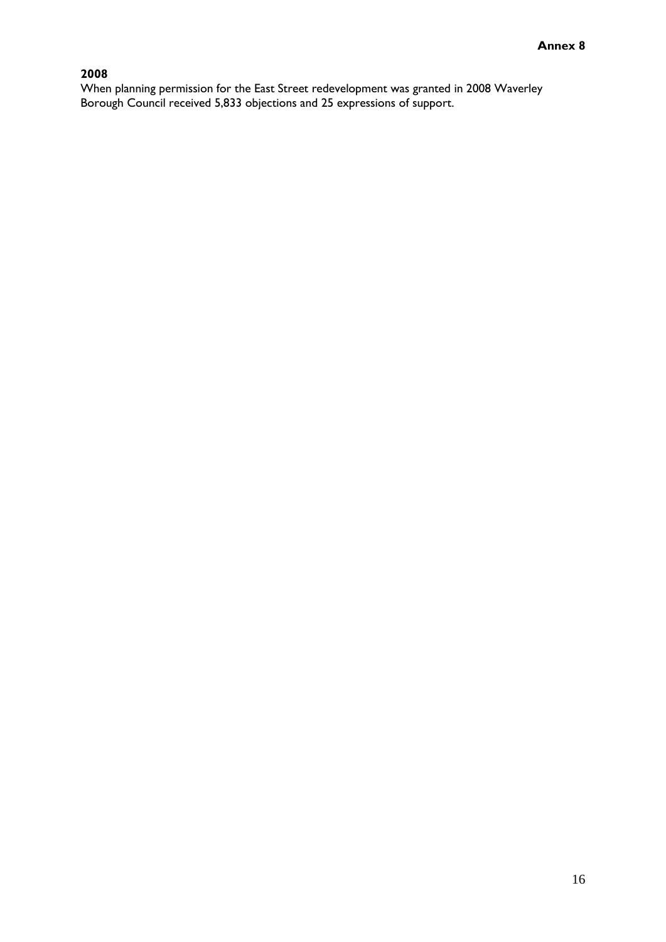# **2008**

When planning permission for the East Street redevelopment was granted in 2008 Waverley Borough Council received 5,833 objections and 25 expressions of support.